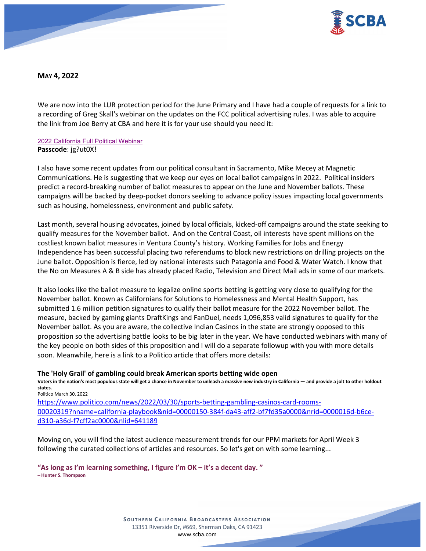

**MAY 4, 2022**

We are now into the LUR protection period for the June Primary and I have had a couple of requests for a link to a recording of Greg Skall's webinar on the updates on the FCC political advertising rules. I was able to acquire the link from Joe Berry at CBA and here it is for your use should you need it:

### [2022 California Full Political Webinar](https://us06web.zoom.us/rec/share/zYFhAtykYeij2P6oH_0X6HANCIC0iu3E8CKZ39eqRQA0COtfc7qTlChCvGC4elvN.U5CvefL5WPKhCKwx) **Passcode**: jg?ut0X!

I also have some recent updates from our political consultant in Sacramento, Mike Mecey at Magnetic Communications. He is suggesting that we keep our eyes on local ballot campaigns in 2022. Political insiders predict a record-breaking number of ballot measures to appear on the June and November ballots. These campaigns will be backed by deep-pocket donors seeking to advance policy issues impacting local governments such as housing, homelessness, environment and public safety.

Last month, several housing advocates, joined by local officials, kicked-off campaigns around the state seeking to qualify measures for the November ballot. And on the Central Coast, oil interests have spent millions on the costliest known ballot measures in Ventura County's history. Working Families for Jobs and Energy Independence has been successful placing two referendums to block new restrictions on drilling projects on the June ballot. Opposition is fierce, led by national interests such Patagonia and Food & Water Watch. I know that the No on Measures A & B side has already placed Radio, Television and Direct Mail ads in some of our markets.

It also looks like the ballot measure to legalize online sports betting is getting very close to qualifying for the November ballot. Known as Californians for Solutions to Homelessness and Mental Health Support, has submitted 1.6 million petition signatures to qualify their ballot measure for the 2022 November ballot. The measure, backed by gaming giants DraftKings and FanDuel, needs 1,096,853 valid signatures to qualify for the November ballot. As you are aware, the collective Indian Casinos in the state are strongly opposed to this proposition so the advertising battle looks to be big later in the year. We have conducted webinars with many of the key people on both sides of this proposition and I will do a separate followup with you with more details soon. Meanwhile, here is a link to a Politico article that offers more details:

### **The 'Holy Grail' of gambling could break American sports betting wide open**

**Voters in the nation's most populous state will get a chance in November to unleash a massive new industry in California — and provide a jolt to other holdout states.** Politico March 30, 2022

[https://www.politico.com/news/2022/03/30/sports-betting-gambling-casinos-card-rooms-](https://www.politico.com/news/2022/03/30/sports-betting-gambling-casinos-card-rooms-00020319?nname=california-playbook&nid=00000150-384f-da43-aff2-bf7fd35a0000&nrid=0000016d-b6ce-d310-a36d-f7cff2ac0000&nlid=641189)[00020319?nname=california-playbook&nid=00000150-384f-da43-aff2-bf7fd35a0000&nrid=0000016d-b6ce](https://www.politico.com/news/2022/03/30/sports-betting-gambling-casinos-card-rooms-00020319?nname=california-playbook&nid=00000150-384f-da43-aff2-bf7fd35a0000&nrid=0000016d-b6ce-d310-a36d-f7cff2ac0000&nlid=641189)[d310-a36d-f7cff2ac0000&nlid=641189](https://www.politico.com/news/2022/03/30/sports-betting-gambling-casinos-card-rooms-00020319?nname=california-playbook&nid=00000150-384f-da43-aff2-bf7fd35a0000&nrid=0000016d-b6ce-d310-a36d-f7cff2ac0000&nlid=641189)

Moving on, you will find the latest audience measurement trends for our PPM markets for April Week 3 following the curated collections of articles and resources. So let's get on with some learning...

**"As long as I'm learning something, I figure I'm OK – it's a decent day. " – Hunter S. Thompson**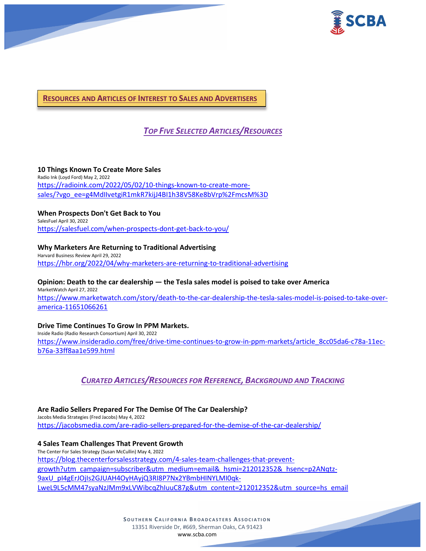



**RESOURCES AND ARTICLES OF INTEREST TO SALES AND ADVERTISERS**

# *TOP FIVE SELECTED ARTICLES/RESOURCES*

**10 Things Known To Create More Sales** Radio Ink (Loyd Ford) May 2, 2022 [https://radioink.com/2022/05/02/10-things-known-to-create-more](https://radioink.com/2022/05/02/10-things-known-to-create-more-sales/?vgo_ee=g4MdIIvetgiR1mkR7kijJ4BI1h38V58Ke8bVrp%2FmcsM%3D)[sales/?vgo\\_ee=g4MdIIvetgiR1mkR7kijJ4BI1h38V58Ke8bVrp%2FmcsM%3D](https://radioink.com/2022/05/02/10-things-known-to-create-more-sales/?vgo_ee=g4MdIIvetgiR1mkR7kijJ4BI1h38V58Ke8bVrp%2FmcsM%3D)

### **When Prospects Don't Get Back to You**

SalesFuel April 30, 2022 <https://salesfuel.com/when-prospects-dont-get-back-to-you/>

**Why Marketers Are Returning to Traditional Advertising** Harvard Business Review April 29, 2022 <https://hbr.org/2022/04/why-marketers-are-returning-to-traditional-advertising>

**Opinion: Death to the car dealership — the Tesla sales model is poised to take over America** MarketWatch April 27, 2022 [https://www.marketwatch.com/story/death-to-the-car-dealership-the-tesla-sales-model-is-poised-to-take-over](https://www.marketwatch.com/story/death-to-the-car-dealership-the-tesla-sales-model-is-poised-to-take-over-america-11651066261)[america-11651066261](https://www.marketwatch.com/story/death-to-the-car-dealership-the-tesla-sales-model-is-poised-to-take-over-america-11651066261)

### **Drive Time Continues To Grow In PPM Markets.**

Inside Radio (Radio Research Consortium) April 30, 2022 [https://www.insideradio.com/free/drive-time-continues-to-grow-in-ppm-markets/article\\_8cc05da6-c78a-11ec](https://www.insideradio.com/free/drive-time-continues-to-grow-in-ppm-markets/article_8cc05da6-c78a-11ec-b76a-33ff8aa1e599.html)[b76a-33ff8aa1e599.html](https://www.insideradio.com/free/drive-time-continues-to-grow-in-ppm-markets/article_8cc05da6-c78a-11ec-b76a-33ff8aa1e599.html)

# *CURATED ARTICLES/RESOURCES FOR REFERENCE, BACKGROUND AND TRACKING*

**Are Radio Sellers Prepared For The Demise Of The Car Dealership?** Jacobs Media Strategies (Fred Jacobs) May 4, 2022 <https://jacobsmedia.com/are-radio-sellers-prepared-for-the-demise-of-the-car-dealership/>

**4 Sales Team Challenges That Prevent Growth** The Center For Sales Strategy (Susan McCullin) May 4, 2022 [https://blog.thecenterforsalesstrategy.com/4-sales-team-challenges-that-prevent](https://blog.thecenterforsalesstrategy.com/4-sales-team-challenges-that-prevent-growth?utm_campaign=subscriber&utm_medium=email&_hsmi=212012352&_hsenc=p2ANqtz-9axU_pI4gErJOjIs2GJUAH4OyHAyjQ3RI8P7Nx2YBmbHINYLMI0qk-LweL9L5cMM47syaNzJMm9xLVWibcqZhIuuC87g&utm_content=212012352&utm_source=hs_email)[growth?utm\\_campaign=subscriber&utm\\_medium=email&\\_hsmi=212012352&\\_hsenc=p2ANqtz-](https://blog.thecenterforsalesstrategy.com/4-sales-team-challenges-that-prevent-growth?utm_campaign=subscriber&utm_medium=email&_hsmi=212012352&_hsenc=p2ANqtz-9axU_pI4gErJOjIs2GJUAH4OyHAyjQ3RI8P7Nx2YBmbHINYLMI0qk-LweL9L5cMM47syaNzJMm9xLVWibcqZhIuuC87g&utm_content=212012352&utm_source=hs_email)[9axU\\_pI4gErJOjIs2GJUAH4OyHAyjQ3RI8P7Nx2YBmbHINYLMI0qk-](https://blog.thecenterforsalesstrategy.com/4-sales-team-challenges-that-prevent-growth?utm_campaign=subscriber&utm_medium=email&_hsmi=212012352&_hsenc=p2ANqtz-9axU_pI4gErJOjIs2GJUAH4OyHAyjQ3RI8P7Nx2YBmbHINYLMI0qk-LweL9L5cMM47syaNzJMm9xLVWibcqZhIuuC87g&utm_content=212012352&utm_source=hs_email)[LweL9L5cMM47syaNzJMm9xLVWibcqZhIuuC87g&utm\\_content=212012352&utm\\_source=hs\\_email](https://blog.thecenterforsalesstrategy.com/4-sales-team-challenges-that-prevent-growth?utm_campaign=subscriber&utm_medium=email&_hsmi=212012352&_hsenc=p2ANqtz-9axU_pI4gErJOjIs2GJUAH4OyHAyjQ3RI8P7Nx2YBmbHINYLMI0qk-LweL9L5cMM47syaNzJMm9xLVWibcqZhIuuC87g&utm_content=212012352&utm_source=hs_email)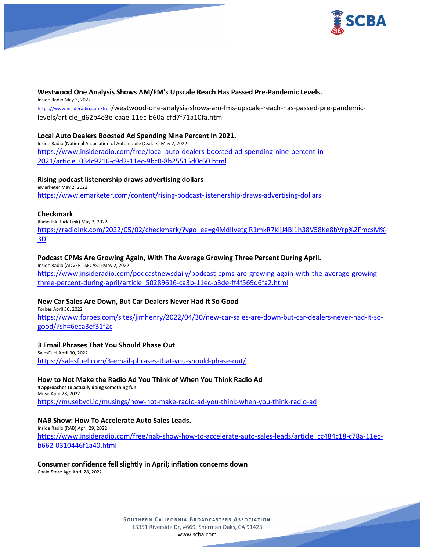

# **Westwood One Analysis Shows AM/FM's Upscale Reach Has Passed Pre-Pandemic Levels.**

Inside Radio May 3, 2022

[https://www.insideradio.com/free/](https://www.insideradio.com/free)westwood-one-analysis-shows-am-fms-upscale-reach-has-passed-pre-pandemiclevels/article\_d62b4e3e-caae-11ec-b60a-cfd7f71a10fa.html

# **Local Auto Dealers Boosted Ad Spending Nine Percent In 2021.**

Inside Radio (National Association of Automobile Dealers) May 2, 2022 [https://www.insideradio.com/free/local-auto-dealers-boosted-ad-spending-nine-percent-in-](https://www.insideradio.com/free/local-auto-dealers-boosted-ad-spending-nine-percent-in-2021/article_034c9216-c9d2-11ec-9bc0-8b25515d0c60.html)[2021/article\\_034c9216-c9d2-11ec-9bc0-8b25515d0c60.html](https://www.insideradio.com/free/local-auto-dealers-boosted-ad-spending-nine-percent-in-2021/article_034c9216-c9d2-11ec-9bc0-8b25515d0c60.html)

# **Rising podcast listenership draws advertising dollars**

eMarketer May 2, 2022 <https://www.emarketer.com/content/rising-podcast-listenership-draws-advertising-dollars>

# **Checkmark**

Radio Ink (Rick Fink) May 2, 2022

[https://radioink.com/2022/05/02/checkmark/?vgo\\_ee=g4MdIIvetgiR1mkR7kijJ4BI1h38V58Ke8bVrp%2FmcsM%](https://radioink.com/2022/05/02/checkmark/?vgo_ee=g4MdIIvetgiR1mkR7kijJ4BI1h38V58Ke8bVrp%2FmcsM%3D) [3D](https://radioink.com/2022/05/02/checkmark/?vgo_ee=g4MdIIvetgiR1mkR7kijJ4BI1h38V58Ke8bVrp%2FmcsM%3D)

# **Podcast CPMs Are Growing Again, With The Average Growing Three Percent During April.**

Inside Radio (ADVERTISECAST) May 2, 2022 [https://www.insideradio.com/podcastnewsdaily/podcast-cpms-are-growing-again-with-the-average-growing](https://www.insideradio.com/podcastnewsdaily/podcast-cpms-are-growing-again-with-the-average-growing-three-percent-during-april/article_50289616-ca3b-11ec-b3de-ff4f569d6fa2.html)[three-percent-during-april/article\\_50289616-ca3b-11ec-b3de-ff4f569d6fa2.html](https://www.insideradio.com/podcastnewsdaily/podcast-cpms-are-growing-again-with-the-average-growing-three-percent-during-april/article_50289616-ca3b-11ec-b3de-ff4f569d6fa2.html)

# **New Car Sales Are Down, But Car Dealers Never Had It So Good**

Forbes April 30, 2022 [https://www.forbes.com/sites/jimhenry/2022/04/30/new-car-sales-are-down-but-car-dealers-never-had-it-so](https://www.forbes.com/sites/jimhenry/2022/04/30/new-car-sales-are-down-but-car-dealers-never-had-it-so-good/?sh=6eca3ef31f2c)[good/?sh=6eca3ef31f2c](https://www.forbes.com/sites/jimhenry/2022/04/30/new-car-sales-are-down-but-car-dealers-never-had-it-so-good/?sh=6eca3ef31f2c)

# **3 Email Phrases That You Should Phase Out**

SalesFuel April 30, 2022 <https://salesfuel.com/3-email-phrases-that-you-should-phase-out/>

# **How to Not Make the Radio Ad You Think of When You Think Radio Ad**

**4 approaches to actually doing something fun** Muse April 28, 2022 <https://musebycl.io/musings/how-not-make-radio-ad-you-think-when-you-think-radio-ad>

# **NAB Show: How To Accelerate Auto Sales Leads.**

Inside Radio (RAB) April 29, 2022 [https://www.insideradio.com/free/nab-show-how-to-accelerate-auto-sales-leads/article\\_cc484c18-c78a-11ec](https://www.insideradio.com/free/nab-show-how-to-accelerate-auto-sales-leads/article_cc484c18-c78a-11ec-b662-0310446f1a40.html)[b662-0310446f1a40.html](https://www.insideradio.com/free/nab-show-how-to-accelerate-auto-sales-leads/article_cc484c18-c78a-11ec-b662-0310446f1a40.html)

# **Consumer confidence fell slightly in April; inflation concerns down**

Chain Store Age April 28, 2022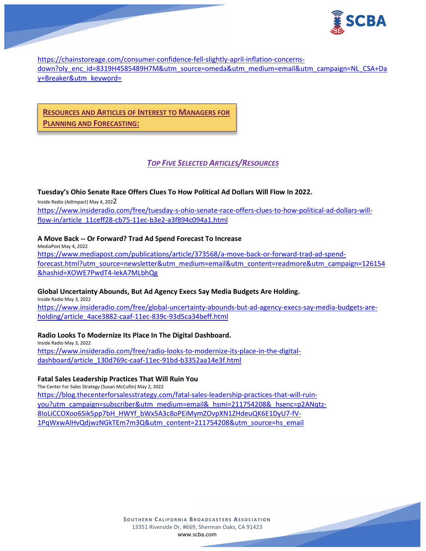

[https://chainstoreage.com/consumer-confidence-fell-slightly-april-inflation-concerns](https://chainstoreage.com/consumer-confidence-fell-slightly-april-inflation-concerns-down?oly_enc_id=8319H4585489H7M&utm_source=omeda&utm_medium=email&utm_campaign=NL_CSA+Day+Breaker&utm_keyword=)[down?oly\\_enc\\_id=8319H4585489H7M&utm\\_source=omeda&utm\\_medium=email&utm\\_campaign=NL\\_CSA+Da](https://chainstoreage.com/consumer-confidence-fell-slightly-april-inflation-concerns-down?oly_enc_id=8319H4585489H7M&utm_source=omeda&utm_medium=email&utm_campaign=NL_CSA+Day+Breaker&utm_keyword=) [y+Breaker&utm\\_keyword=](https://chainstoreage.com/consumer-confidence-fell-slightly-april-inflation-concerns-down?oly_enc_id=8319H4585489H7M&utm_source=omeda&utm_medium=email&utm_campaign=NL_CSA+Day+Breaker&utm_keyword=)

# **RESOURCES AND ARTICLES OF INTEREST TO MANAGERS FOR PLANNING AND FORECASTING:**

# *TOP FIVE SELECTED ARTICLES/RESOURCES*

# **Tuesday's Ohio Senate Race Offers Clues To How Political Ad Dollars Will Flow In 2022.**

Inside Radio (AdImpact) May 4, 2022 [https://www.insideradio.com/free/tuesday-s-ohio-senate-race-offers-clues-to-how-political-ad-dollars-will](https://www.insideradio.com/free/tuesday-s-ohio-senate-race-offers-clues-to-how-political-ad-dollars-will-flow-in/article_11ceff28-cb75-11ec-b3e2-a3f894c094a1.html)[flow-in/article\\_11ceff28-cb75-11ec-b3e2-a3f894c094a1.html](https://www.insideradio.com/free/tuesday-s-ohio-senate-race-offers-clues-to-how-political-ad-dollars-will-flow-in/article_11ceff28-cb75-11ec-b3e2-a3f894c094a1.html)

# **A Move Back -- Or Forward? Trad Ad Spend Forecast To Increase**

MediaPost May 4, 2022 [https://www.mediapost.com/publications/article/373568/a-move-back-or-forward-trad-ad-spend](https://www.mediapost.com/publications/article/373568/a-move-back-or-forward-trad-ad-spend-forecast.html?utm_source=newsletter&utm_medium=email&utm_content=readmore&utm_campaign=126154&hashid=XOWE7PwdT4-lekA7MLbhQg)[forecast.html?utm\\_source=newsletter&utm\\_medium=email&utm\\_content=readmore&utm\\_campaign=126154](https://www.mediapost.com/publications/article/373568/a-move-back-or-forward-trad-ad-spend-forecast.html?utm_source=newsletter&utm_medium=email&utm_content=readmore&utm_campaign=126154&hashid=XOWE7PwdT4-lekA7MLbhQg) [&hashid=XOWE7PwdT4-lekA7MLbhQg](https://www.mediapost.com/publications/article/373568/a-move-back-or-forward-trad-ad-spend-forecast.html?utm_source=newsletter&utm_medium=email&utm_content=readmore&utm_campaign=126154&hashid=XOWE7PwdT4-lekA7MLbhQg)

# **Global Uncertainty Abounds, But Ad Agency Execs Say Media Budgets Are Holding.**

Inside Radio May 3, 2022 [https://www.insideradio.com/free/global-uncertainty-abounds-but-ad-agency-execs-say-media-budgets-are](https://www.insideradio.com/free/global-uncertainty-abounds-but-ad-agency-execs-say-media-budgets-are-holding/article_4ace3882-caaf-11ec-839c-93d5ca34beff.html)[holding/article\\_4ace3882-caaf-11ec-839c-93d5ca34beff.html](https://www.insideradio.com/free/global-uncertainty-abounds-but-ad-agency-execs-say-media-budgets-are-holding/article_4ace3882-caaf-11ec-839c-93d5ca34beff.html)

# **Radio Looks To Modernize Its Place In The Digital Dashboard.**

Inside Radio May 3, 2022 [https://www.insideradio.com/free/radio-looks-to-modernize-its-place-in-the-digital](https://www.insideradio.com/free/radio-looks-to-modernize-its-place-in-the-digital-dashboard/article_130d769c-caaf-11ec-91bd-b3352aa14e3f.html)[dashboard/article\\_130d769c-caaf-11ec-91bd-b3352aa14e3f.html](https://www.insideradio.com/free/radio-looks-to-modernize-its-place-in-the-digital-dashboard/article_130d769c-caaf-11ec-91bd-b3352aa14e3f.html)

# **Fatal Sales Leadership Practices That Will Ruin You**

The Center For Sales Strategy (Susan McCullin) May 2, 2022 [https://blog.thecenterforsalesstrategy.com/fatal-sales-leadership-practices-that-will-ruin](https://blog.thecenterforsalesstrategy.com/fatal-sales-leadership-practices-that-will-ruin-you?utm_campaign=subscriber&utm_medium=email&_hsmi=211754208&_hsenc=p2ANqtz-8IoLiCCOXoo6Sik5pp7bH_HWYf_bWx5A3c8oPEiMymZOvpXN1ZHdeuQK6E1DyU7-fV-1PqWxwAlHvQdjwzNGkTEm7m3Q&utm_content=211754208&utm_source=hs_email)[you?utm\\_campaign=subscriber&utm\\_medium=email&\\_hsmi=211754208&\\_hsenc=p2ANqtz-](https://blog.thecenterforsalesstrategy.com/fatal-sales-leadership-practices-that-will-ruin-you?utm_campaign=subscriber&utm_medium=email&_hsmi=211754208&_hsenc=p2ANqtz-8IoLiCCOXoo6Sik5pp7bH_HWYf_bWx5A3c8oPEiMymZOvpXN1ZHdeuQK6E1DyU7-fV-1PqWxwAlHvQdjwzNGkTEm7m3Q&utm_content=211754208&utm_source=hs_email)[8IoLiCCOXoo6Sik5pp7bH\\_HWYf\\_bWx5A3c8oPEiMymZOvpXN1ZHdeuQK6E1DyU7-fV-](https://blog.thecenterforsalesstrategy.com/fatal-sales-leadership-practices-that-will-ruin-you?utm_campaign=subscriber&utm_medium=email&_hsmi=211754208&_hsenc=p2ANqtz-8IoLiCCOXoo6Sik5pp7bH_HWYf_bWx5A3c8oPEiMymZOvpXN1ZHdeuQK6E1DyU7-fV-1PqWxwAlHvQdjwzNGkTEm7m3Q&utm_content=211754208&utm_source=hs_email)[1PqWxwAlHvQdjwzNGkTEm7m3Q&utm\\_content=211754208&utm\\_source=hs\\_email](https://blog.thecenterforsalesstrategy.com/fatal-sales-leadership-practices-that-will-ruin-you?utm_campaign=subscriber&utm_medium=email&_hsmi=211754208&_hsenc=p2ANqtz-8IoLiCCOXoo6Sik5pp7bH_HWYf_bWx5A3c8oPEiMymZOvpXN1ZHdeuQK6E1DyU7-fV-1PqWxwAlHvQdjwzNGkTEm7m3Q&utm_content=211754208&utm_source=hs_email)

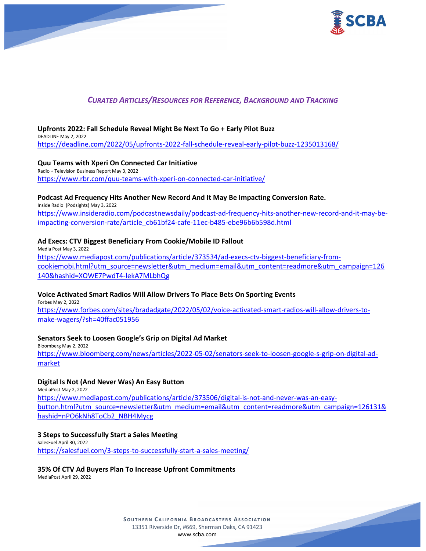

# *CURATED ARTICLES/RESOURCES FOR REFERENCE, BACKGROUND AND TRACKING*

#### **Upfronts 2022: Fall Schedule Reveal Might Be Next To Go + Early Pilot Buzz** DEADLINE May 2, 2022

<https://deadline.com/2022/05/upfronts-2022-fall-schedule-reveal-early-pilot-buzz-1235013168/>

**Quu Teams with Xperi On Connected Car Initiative** Radio + Television Business Report May 3, 2022 <https://www.rbr.com/quu-teams-with-xperi-on-connected-car-initiative/>

# **Podcast Ad Frequency Hits Another New Record And It May Be Impacting Conversion Rate.**

Inside Radio (Podsights) May 3, 2022 [https://www.insideradio.com/podcastnewsdaily/podcast-ad-frequency-hits-another-new-record-and-it-may-be](https://www.insideradio.com/podcastnewsdaily/podcast-ad-frequency-hits-another-new-record-and-it-may-be-impacting-conversion-rate/article_cb61bf24-cafe-11ec-b485-ebe96b6b598d.html)[impacting-conversion-rate/article\\_cb61bf24-cafe-11ec-b485-ebe96b6b598d.html](https://www.insideradio.com/podcastnewsdaily/podcast-ad-frequency-hits-another-new-record-and-it-may-be-impacting-conversion-rate/article_cb61bf24-cafe-11ec-b485-ebe96b6b598d.html)

### **Ad Execs: CTV Biggest Beneficiary From Cookie/Mobile ID Fallout**

Media Post May 3, 2022 [https://www.mediapost.com/publications/article/373534/ad-execs-ctv-biggest-beneficiary-from](https://www.mediapost.com/publications/article/373534/ad-execs-ctv-biggest-beneficiary-from-cookiemobi.html?utm_source=newsletter&utm_medium=email&utm_content=readmore&utm_campaign=126140&hashid=XOWE7PwdT4-lekA7MLbhQg)[cookiemobi.html?utm\\_source=newsletter&utm\\_medium=email&utm\\_content=readmore&utm\\_campaign=126](https://www.mediapost.com/publications/article/373534/ad-execs-ctv-biggest-beneficiary-from-cookiemobi.html?utm_source=newsletter&utm_medium=email&utm_content=readmore&utm_campaign=126140&hashid=XOWE7PwdT4-lekA7MLbhQg) [140&hashid=XOWE7PwdT4-lekA7MLbhQg](https://www.mediapost.com/publications/article/373534/ad-execs-ctv-biggest-beneficiary-from-cookiemobi.html?utm_source=newsletter&utm_medium=email&utm_content=readmore&utm_campaign=126140&hashid=XOWE7PwdT4-lekA7MLbhQg)

# **Voice Activated Smart Radios Will Allow Drivers To Place Bets On Sporting Events**

Forbes May 2, 2022 [https://www.forbes.com/sites/bradadgate/2022/05/02/voice-activated-smart-radios-will-allow-drivers-to](https://www.forbes.com/sites/bradadgate/2022/05/02/voice-activated-smart-radios-will-allow-drivers-to-make-wagers/?sh=40ffac051956)[make-wagers/?sh=40ffac051956](https://www.forbes.com/sites/bradadgate/2022/05/02/voice-activated-smart-radios-will-allow-drivers-to-make-wagers/?sh=40ffac051956)

### **Senators Seek to Loosen Google's Grip on Digital Ad Market**

Bloomberg May 2, 2022 [https://www.bloomberg.com/news/articles/2022-05-02/senators-seek-to-loosen-google-s-grip-on-digital-ad](https://www.bloomberg.com/news/articles/2022-05-02/senators-seek-to-loosen-google-s-grip-on-digital-ad-market)[market](https://www.bloomberg.com/news/articles/2022-05-02/senators-seek-to-loosen-google-s-grip-on-digital-ad-market)

### **Digital Is Not (And Never Was) An Easy Button**

MediaPost May 2, 2022 [https://www.mediapost.com/publications/article/373506/digital-is-not-and-never-was-an-easy](https://www.mediapost.com/publications/article/373506/digital-is-not-and-never-was-an-easy-button.html?utm_source=newsletter&utm_medium=email&utm_content=readmore&utm_campaign=126131&hashid=nPO6kNh8ToCb2_NBH4Mycg)[button.html?utm\\_source=newsletter&utm\\_medium=email&utm\\_content=readmore&utm\\_campaign=126131&](https://www.mediapost.com/publications/article/373506/digital-is-not-and-never-was-an-easy-button.html?utm_source=newsletter&utm_medium=email&utm_content=readmore&utm_campaign=126131&hashid=nPO6kNh8ToCb2_NBH4Mycg) [hashid=nPO6kNh8ToCb2\\_NBH4Mycg](https://www.mediapost.com/publications/article/373506/digital-is-not-and-never-was-an-easy-button.html?utm_source=newsletter&utm_medium=email&utm_content=readmore&utm_campaign=126131&hashid=nPO6kNh8ToCb2_NBH4Mycg)

### **3 Steps to Successfully Start a Sales Meeting**

SalesFuel April 30, 2022 <https://salesfuel.com/3-steps-to-successfully-start-a-sales-meeting/>

### **35% Of CTV Ad Buyers Plan To Increase Upfront Commitments**

MediaPost April 29, 2022

**SOUTHERN C ALIFORNIA B ROADCASTERS ASSOCIATION** 13351 Riverside Dr, #669, Sherman Oaks, CA 91423 [www.scba.com](http://www.scba.com/)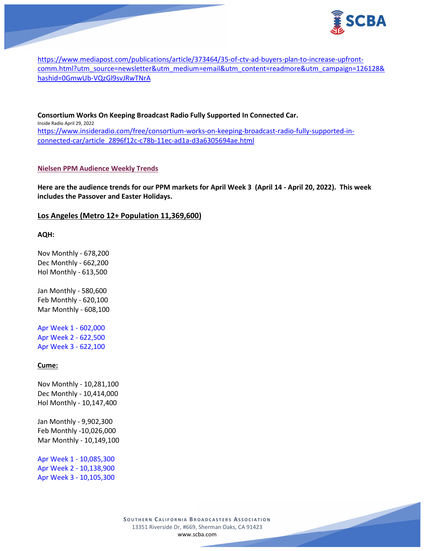

[https://www.mediapost.com/publications/article/373464/35-of-ctv-ad-buyers-plan-to-increase-upfront](https://www.mediapost.com/publications/article/373464/35-of-ctv-ad-buyers-plan-to-increase-upfront-comm.html?utm_source=newsletter&utm_medium=email&utm_content=readmore&utm_campaign=126128&hashid=0GmwUb-VQzGl9svJRwTNrA)[comm.html?utm\\_source=newsletter&utm\\_medium=email&utm\\_content=readmore&utm\\_campaign=126128&](https://www.mediapost.com/publications/article/373464/35-of-ctv-ad-buyers-plan-to-increase-upfront-comm.html?utm_source=newsletter&utm_medium=email&utm_content=readmore&utm_campaign=126128&hashid=0GmwUb-VQzGl9svJRwTNrA) [hashid=0GmwUb-VQzGl9svJRwTNrA](https://www.mediapost.com/publications/article/373464/35-of-ctv-ad-buyers-plan-to-increase-upfront-comm.html?utm_source=newsletter&utm_medium=email&utm_content=readmore&utm_campaign=126128&hashid=0GmwUb-VQzGl9svJRwTNrA)

**Consortium Works On Keeping Broadcast Radio Fully Supported In Connected Car.** Inside Radio April 29, 2022 [https://www.insideradio.com/free/consortium-works-on-keeping-broadcast-radio-fully-supported-in](https://www.insideradio.com/free/consortium-works-on-keeping-broadcast-radio-fully-supported-in-connected-car/article_2896f12c-c78b-11ec-ad1a-d3a6305694ae.html)[connected-car/article\\_2896f12c-c78b-11ec-ad1a-d3a6305694ae.html](https://www.insideradio.com/free/consortium-works-on-keeping-broadcast-radio-fully-supported-in-connected-car/article_2896f12c-c78b-11ec-ad1a-d3a6305694ae.html)

### **Nielsen PPM Audience Weekly Trends**

**Here are the audience trends for our PPM markets for April Week 3 (April 14 - April 20, 2022). This week includes the Passover and Easter Holidays.**

# **Los Angeles (Metro 12+ Population 11,369,600)**

**AQH:**

Nov Monthly - 678,200 Dec Monthly - 662,200 Hol Monthly - 613,500

Jan Monthly - 580,600 Feb Monthly - 620,100 Mar Monthly - 608,100

Apr Week 1 - 602,000 Apr Week 2 - 622,500 Apr Week 3 - 622,100

### **Cume:**

Nov Monthly - 10,281,100 Dec Monthly - 10,414,000 Hol Monthly - 10,147,400

Jan Monthly - 9,902,300 Feb Monthly -10,026,000 Mar Monthly - 10,149,100

Apr Week 1 - 10,085,300 Apr Week 2 - 10,138,900 Apr Week 3 - 10,105,300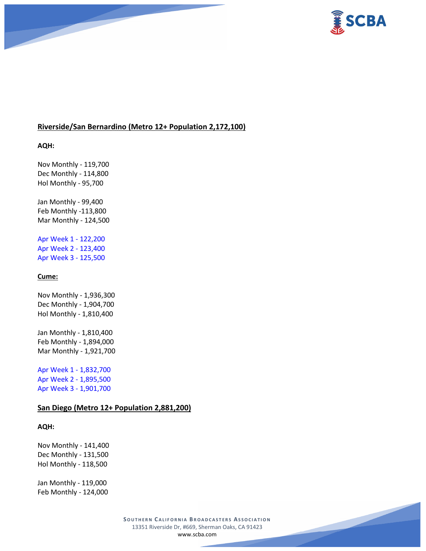

# **Riverside/San Bernardino (Metro 12+ Population 2,172,100)**

**AQH:**

Nov Monthly - 119,700 Dec Monthly - 114,800 Hol Monthly - 95,700

Jan Monthly - 99,400 Feb Monthly -113,800 Mar Monthly - 124,500

Apr Week 1 - 122,200 Apr Week 2 - 123,400 Apr Week 3 - 125,500

# **Cume:**

Nov Monthly - 1,936,300 Dec Monthly - 1,904,700 Hol Monthly - 1,810,400

Jan Monthly - 1,810,400 Feb Monthly - 1,894,000 Mar Monthly - 1,921,700

Apr Week 1 - 1,832,700 Apr Week 2 - 1,895,500 Apr Week 3 - 1,901,700

# **San Diego (Metro 12+ Population 2,881,200)**

**AQH:**

Nov Monthly - 141,400 Dec Monthly - 131,500 Hol Monthly - 118,500

Jan Monthly - 119,000 Feb Monthly - 124,000